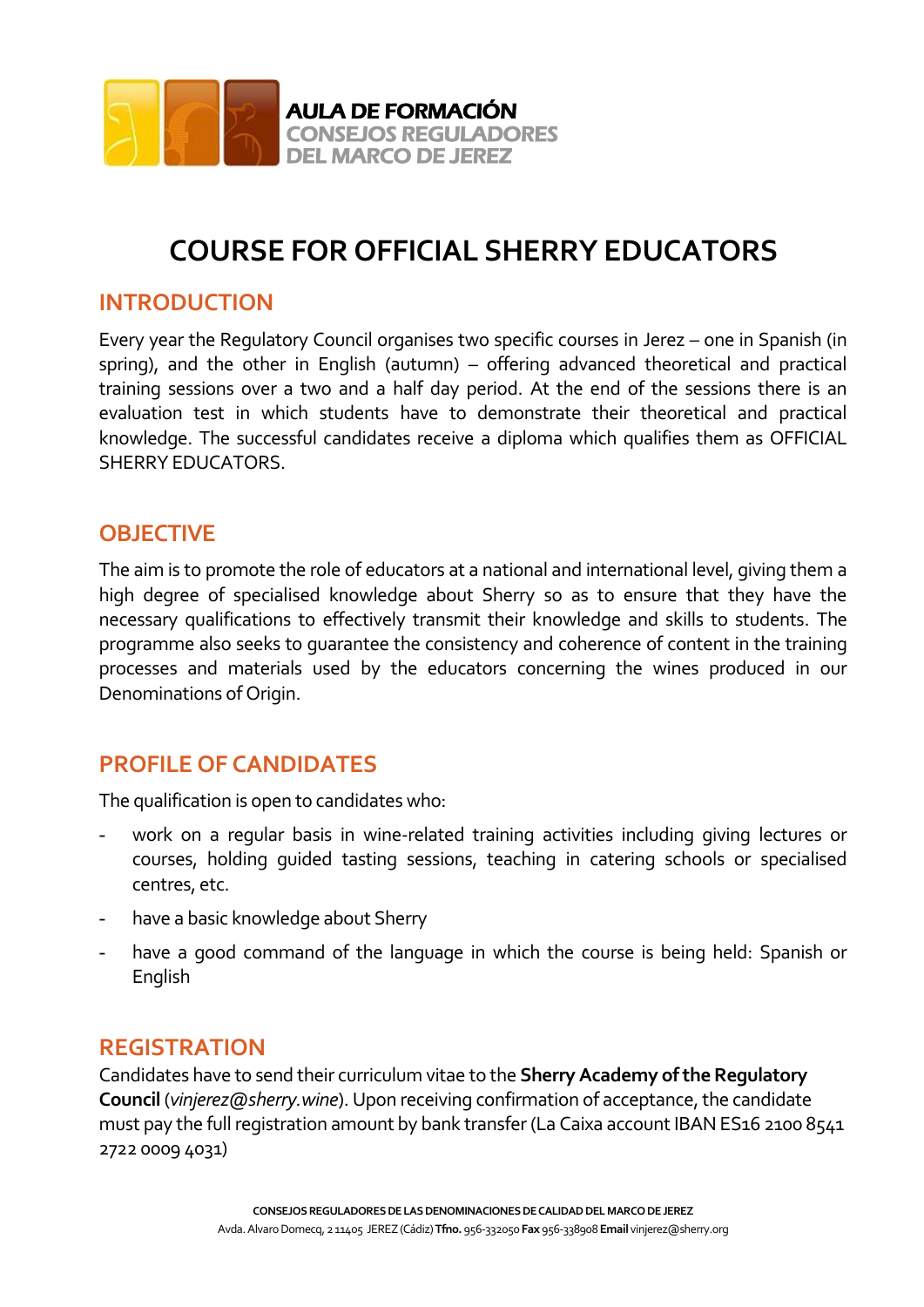

# **COURSE FOR OFFICIAL SHERRY EDUCATORS**

### **INTRODUCTION**

Every year the Regulatory Council organises two specific courses in Jerez – one in Spanish (in spring), and the other in English (autumn) – offering advanced theoretical and practical training sessions over a two and a half day period. At the end of the sessions there is an evaluation test in which students have to demonstrate their theoretical and practical knowledge. The successful candidates receive a diploma which qualifies them as OFFICIAL SHERRY EDUCATORS.

### **OBJECTIVE**

The aim is to promote the role of educators at a national and international level, giving them a high degree of specialised knowledge about Sherry so as to ensure that they have the necessary qualifications to effectively transmit their knowledge and skills to students. The programme also seeks to guarantee the consistency and coherence of content in the training processes and materials used by the educators concerning the wines produced in our Denominations of Origin.

## **PROFILE OF CANDIDATES**

The qualification is open to candidates who:

- work on a regular basis in wine-related training activities including giving lectures or courses, holding guided tasting sessions, teaching in catering schools or specialised centres, etc.
- have a basic knowledge about Sherry
- have a good command of the language in which the course is being held: Spanish or English

### **REGISTRATION**

Candidates have to send their curriculum vitae to the **Sherry Academy of the Regulatory Council** (*[vinjerez@sherry.wine](mailto:vinjerez@sherry.wine)*). Upon receiving confirmation of acceptance, the candidate must pay the full registration amount by bank transfer (La Caixa account IBAN ES16 2100 8541 2722 0009 4031)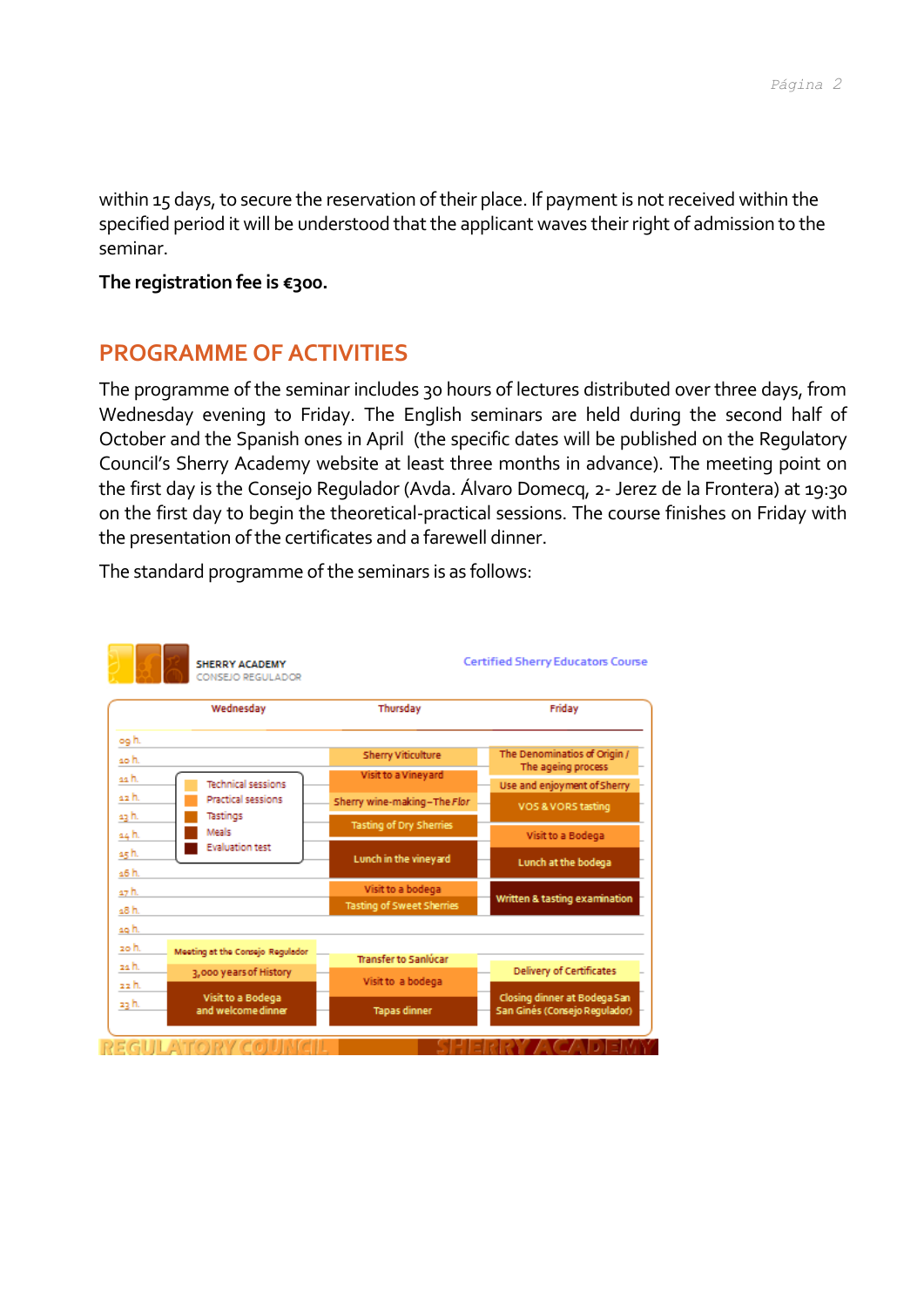within 15 days, to secure the reservation of their place. If payment is not received within the specified period it will be understood that the applicant waves their right of admission to the seminar.

#### **The registration fee is €300.**

## **PROGRAMME OF ACTIVITIES**

The programme of the seminar includes 30 hours of lectures distributed over three days, from Wednesday evening to Friday. The English seminars are held during the second half of October and the Spanish ones in April (the specific dates will be published on the Regulatory Council's Sherry Academy website at least three months in advance). The meeting point on the first day is the Consejo Regulador (Avda. Álvaro Domecq, 2- Jerez de la Frontera) at 19:30 on the first day to begin the theoretical-practical sessions. The course finishes on Friday with the presentation of the certificates and a farewell dinner.



The standard programme of the seminars is as follows: